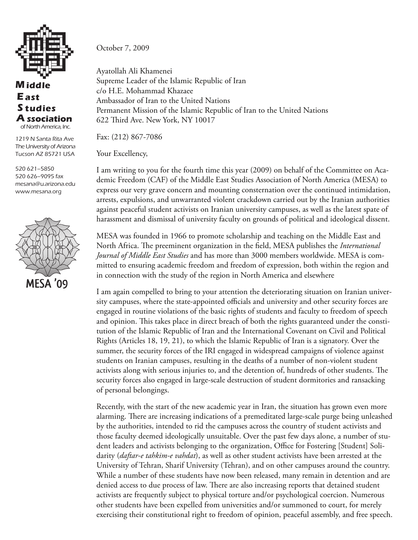

## **iddle M** A ssociation **tudies S East** of North America, Inc.

1219 N Santa Rita Ave The University of Arizona Tucson AZ 85721 USA

520 621–5850 520 626–9095 fax mesana@u.arizona.edu www.mesana.org



October 7, 2009

Ayatollah Ali Khamenei Supreme Leader of the Islamic Republic of Iran c/o H.E. Mohammad Khazaee Ambassador of Iran to the United Nations Permanent Mission of the Islamic Republic of Iran to the United Nations 622 Third Ave. New York, NY 10017

Fax: (212) 867-7086

Your Excellency,

I am writing to you for the fourth time this year (2009) on behalf of the Committee on Academic Freedom (CAF) of the Middle East Studies Association of North America (MESA) to express our very grave concern and mounting consternation over the continued intimidation, arrests, expulsions, and unwarranted violent crackdown carried out by the Iranian authorities against peaceful student activists on Iranian university campuses, as well as the latest spate of harassment and dismissal of university faculty on grounds of political and ideological dissent.

MESA was founded in 1966 to promote scholarship and teaching on the Middle East and North Africa. The preeminent organization in the field, MESA publishes the *International Journal of Middle East Studies* and has more than 3000 members worldwide. MESA is committed to ensuring academic freedom and freedom of expression, both within the region and in connection with the study of the region in North America and elsewhere

I am again compelled to bring to your attention the deteriorating situation on Iranian university campuses, where the state-appointed officials and university and other security forces are engaged in routine violations of the basic rights of students and faculty to freedom of speech and opinion. This takes place in direct breach of both the rights guaranteed under the constitution of the Islamic Republic of Iran and the International Covenant on Civil and Political Rights (Articles 18, 19, 21), to which the Islamic Republic of Iran is a signatory. Over the summer, the security forces of the IRI engaged in widespread campaigns of violence against students on Iranian campuses, resulting in the deaths of a number of non-violent student activists along with serious injuries to, and the detention of, hundreds of other students. The security forces also engaged in large-scale destruction of student dormitories and ransacking of personal belongings.

Recently, with the start of the new academic year in Iran, the situation has grown even more alarming. There are increasing indications of a premeditated large-scale purge being unleashed by the authorities, intended to rid the campuses across the country of student activists and those faculty deemed ideologically unsuitable. Over the past few days alone, a number of student leaders and activists belonging to the organization, Office for Fostering [Student] Solidarity (*daftar-e tahkim-e vahdat*), as well as other student activists have been arrested at the University of Tehran, Sharif University (Tehran), and on other campuses around the country. While a number of these students have now been released, many remain in detention and are denied access to due process of law. There are also increasing reports that detained student activists are frequently subject to physical torture and/or psychological coercion. Numerous other students have been expelled from universities and/or summoned to court, for merely exercising their constitutional right to freedom of opinion, peaceful assembly, and free speech.